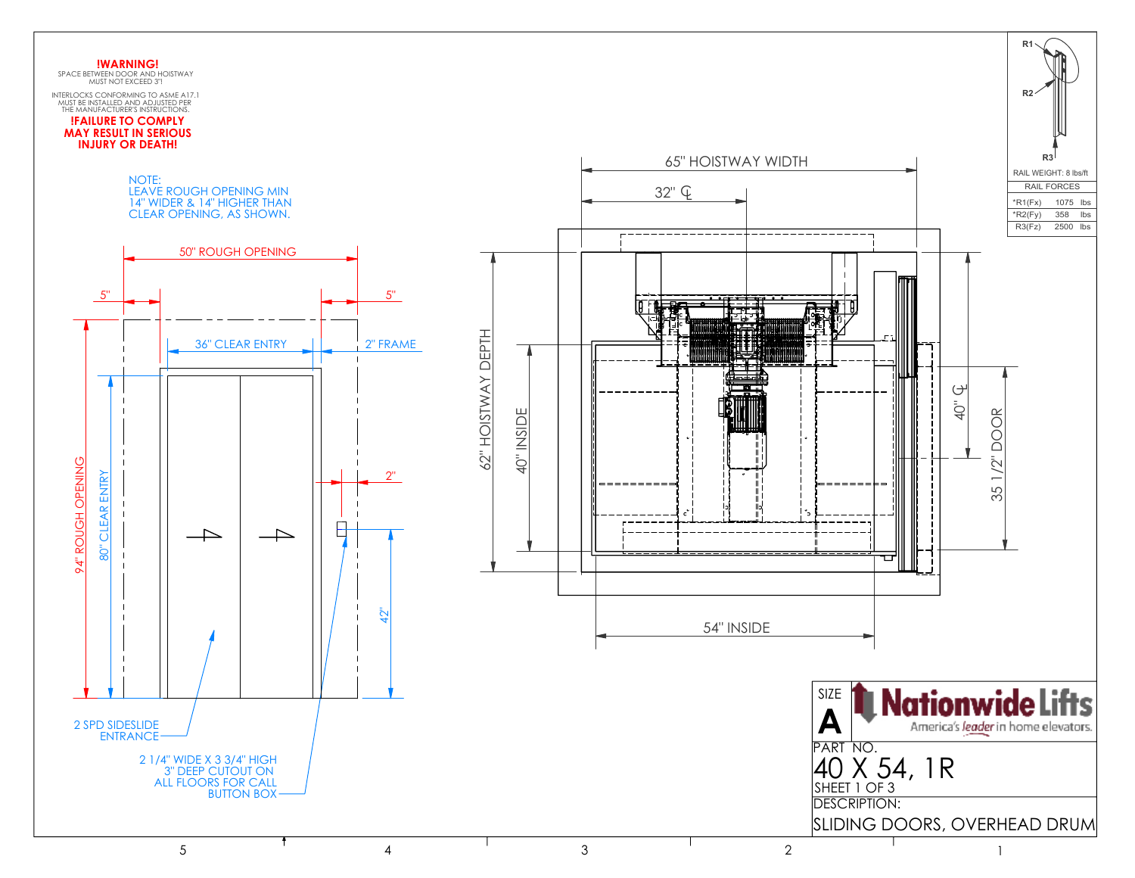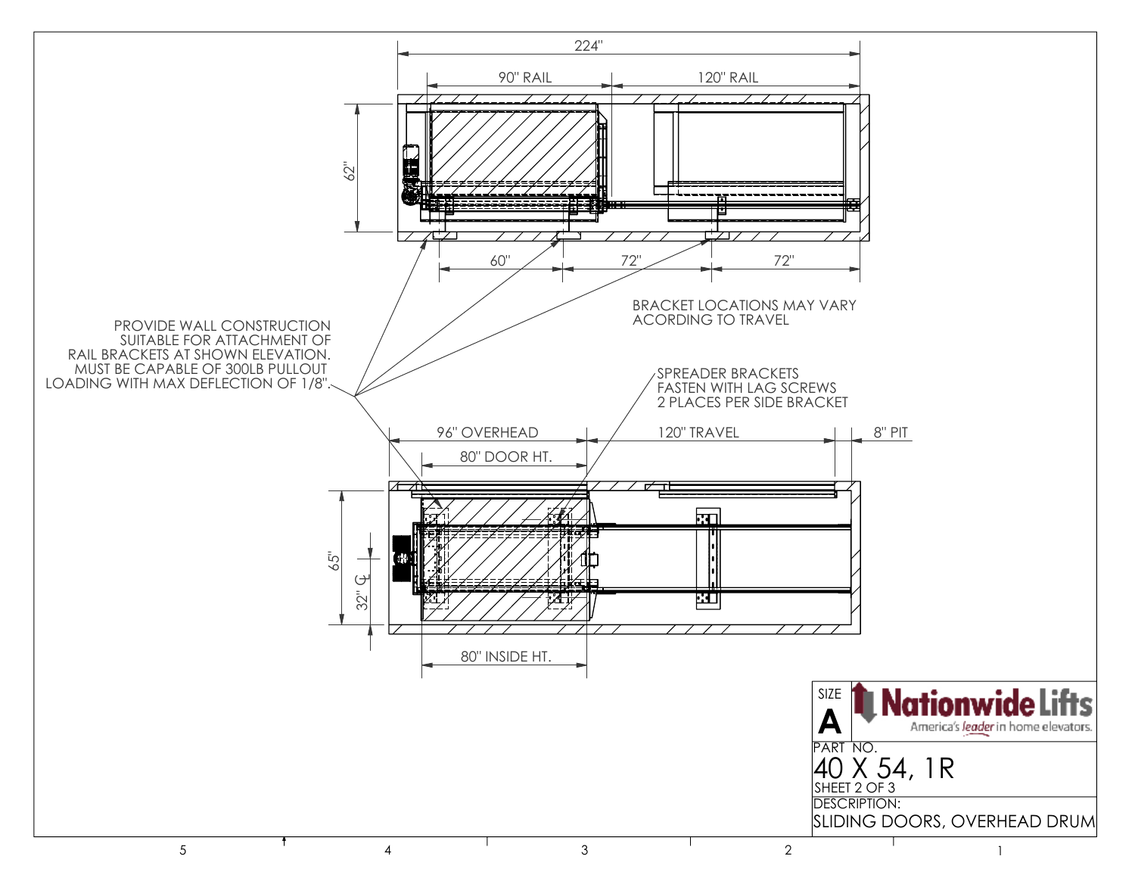